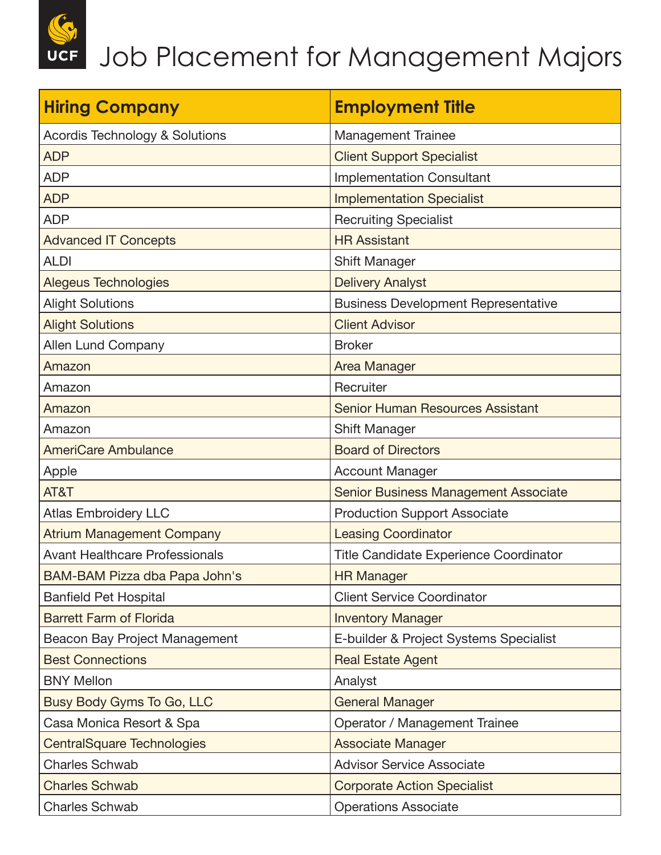| <b>Hiring Company</b>                     | <b>Employment Title</b>                     |
|-------------------------------------------|---------------------------------------------|
| <b>Acordis Technology &amp; Solutions</b> | <b>Management Trainee</b>                   |
| <b>ADP</b>                                | <b>Client Support Specialist</b>            |
| <b>ADP</b>                                | <b>Implementation Consultant</b>            |
| <b>ADP</b>                                | <b>Implementation Specialist</b>            |
| <b>ADP</b>                                | <b>Recruiting Specialist</b>                |
| <b>Advanced IT Concepts</b>               | <b>HR Assistant</b>                         |
| <b>ALDI</b>                               | <b>Shift Manager</b>                        |
| <b>Alegeus Technologies</b>               | <b>Delivery Analyst</b>                     |
| <b>Alight Solutions</b>                   | <b>Business Development Representative</b>  |
| <b>Alight Solutions</b>                   | <b>Client Advisor</b>                       |
| Allen Lund Company                        | <b>Broker</b>                               |
| Amazon                                    | <b>Area Manager</b>                         |
| Amazon                                    | Recruiter                                   |
| Amazon                                    | <b>Senior Human Resources Assistant</b>     |
| Amazon                                    | Shift Manager                               |
| <b>AmeriCare Ambulance</b>                | <b>Board of Directors</b>                   |
| Apple                                     | <b>Account Manager</b>                      |
| AT&T                                      | <b>Senior Business Management Associate</b> |
| <b>Atlas Embroidery LLC</b>               | <b>Production Support Associate</b>         |
| <b>Atrium Management Company</b>          | <b>Leasing Coordinator</b>                  |
| <b>Avant Healthcare Professionals</b>     | Title Candidate Experience Coordinator      |
| BAM-BAM Pizza dba Papa John's             | <b>HR Manager</b>                           |
| <b>Banfield Pet Hospital</b>              | <b>Client Service Coordinator</b>           |
| <b>Barrett Farm of Florida</b>            | <b>Inventory Manager</b>                    |
| Beacon Bay Project Management             | E-builder & Project Systems Specialist      |
| <b>Best Connections</b>                   | <b>Real Estate Agent</b>                    |
| <b>BNY Mellon</b>                         | Analyst                                     |
| Busy Body Gyms To Go, LLC                 | <b>General Manager</b>                      |
| Casa Monica Resort & Spa                  | Operator / Management Trainee               |
| <b>CentralSquare Technologies</b>         | <b>Associate Manager</b>                    |
| <b>Charles Schwab</b>                     | <b>Advisor Service Associate</b>            |
| <b>Charles Schwab</b>                     | <b>Corporate Action Specialist</b>          |
| <b>Charles Schwab</b>                     | <b>Operations Associate</b>                 |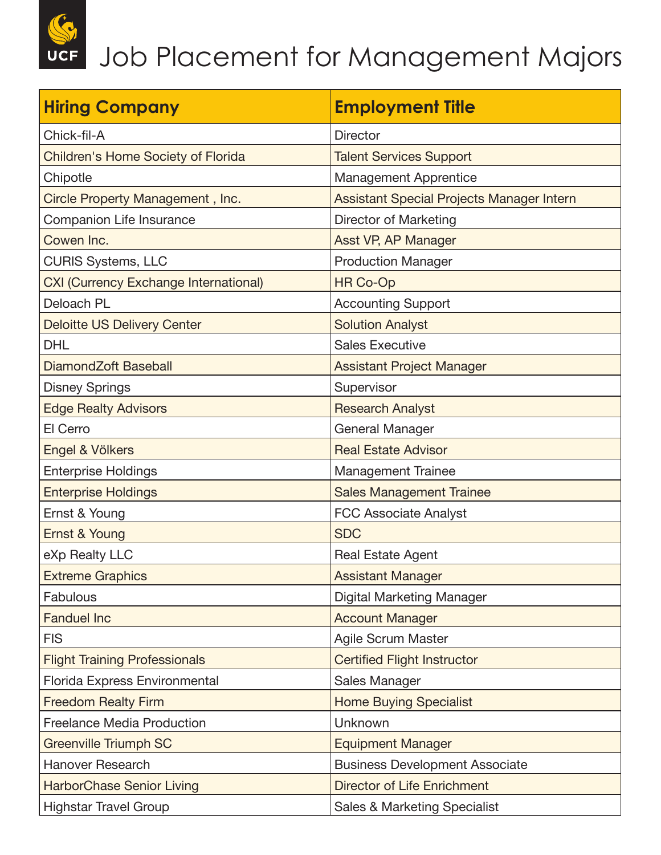| <b>Hiring Company</b>                        | <b>Employment Title</b>                   |
|----------------------------------------------|-------------------------------------------|
| Chick-fil-A                                  | <b>Director</b>                           |
| Children's Home Society of Florida           | <b>Talent Services Support</b>            |
| Chipotle                                     | <b>Management Apprentice</b>              |
| Circle Property Management, Inc.             | Assistant Special Projects Manager Intern |
| Companion Life Insurance                     | <b>Director of Marketing</b>              |
| Cowen Inc.                                   | Asst VP, AP Manager                       |
| <b>CURIS Systems, LLC</b>                    | <b>Production Manager</b>                 |
| <b>CXI (Currency Exchange International)</b> | <b>HR Co-Op</b>                           |
| Deloach PL                                   | <b>Accounting Support</b>                 |
| <b>Deloitte US Delivery Center</b>           | <b>Solution Analyst</b>                   |
| <b>DHL</b>                                   | <b>Sales Executive</b>                    |
| DiamondZoft Baseball                         | <b>Assistant Project Manager</b>          |
| <b>Disney Springs</b>                        | Supervisor                                |
| <b>Edge Realty Advisors</b>                  | <b>Research Analyst</b>                   |
| El Cerro                                     | General Manager                           |
| Engel & Völkers                              | <b>Real Estate Advisor</b>                |
| <b>Enterprise Holdings</b>                   | <b>Management Trainee</b>                 |
| <b>Enterprise Holdings</b>                   | <b>Sales Management Trainee</b>           |
| Ernst & Young                                | <b>FCC Associate Analyst</b>              |
| Ernst & Young                                | <b>SDC</b>                                |
| eXp Realty LLC                               | <b>Real Estate Agent</b>                  |
| <b>Extreme Graphics</b>                      | <b>Assistant Manager</b>                  |
| <b>Fabulous</b>                              | Digital Marketing Manager                 |
| <b>Fanduel Inc</b>                           | <b>Account Manager</b>                    |
| <b>FIS</b>                                   | <b>Agile Scrum Master</b>                 |
| <b>Flight Training Professionals</b>         | <b>Certified Flight Instructor</b>        |
| Florida Express Environmental                | Sales Manager                             |
| <b>Freedom Realty Firm</b>                   | <b>Home Buying Specialist</b>             |
| <b>Freelance Media Production</b>            | Unknown                                   |
| <b>Greenville Triumph SC</b>                 | <b>Equipment Manager</b>                  |
| <b>Hanover Research</b>                      | <b>Business Development Associate</b>     |
| <b>HarborChase Senior Living</b>             | <b>Director of Life Enrichment</b>        |
| <b>Highstar Travel Group</b>                 | <b>Sales &amp; Marketing Specialist</b>   |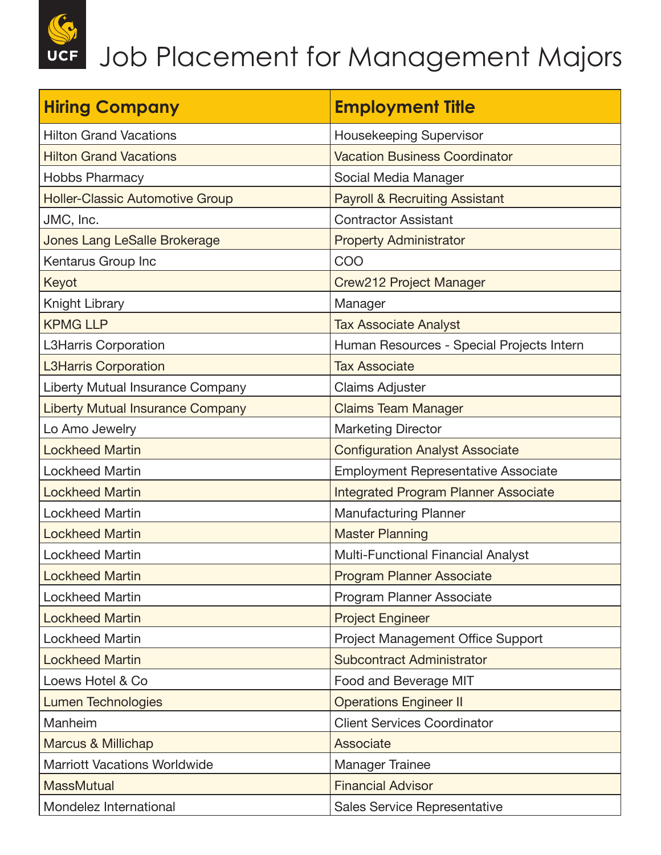**UCF** 

| <b>Hiring Company</b>                   | <b>Employment Title</b>                     |
|-----------------------------------------|---------------------------------------------|
| <b>Hilton Grand Vacations</b>           | Housekeeping Supervisor                     |
| <b>Hilton Grand Vacations</b>           | <b>Vacation Business Coordinator</b>        |
| <b>Hobbs Pharmacy</b>                   | Social Media Manager                        |
| <b>Holler-Classic Automotive Group</b>  | <b>Payroll &amp; Recruiting Assistant</b>   |
| JMC, Inc.                               | <b>Contractor Assistant</b>                 |
| <b>Jones Lang LeSalle Brokerage</b>     | <b>Property Administrator</b>               |
| Kentarus Group Inc                      | COO                                         |
| Keyot                                   | Crew212 Project Manager                     |
| Knight Library                          | Manager                                     |
| <b>KPMG LLP</b>                         | <b>Tax Associate Analyst</b>                |
| <b>L3Harris Corporation</b>             | Human Resources - Special Projects Intern   |
| <b>L3Harris Corporation</b>             | <b>Tax Associate</b>                        |
| Liberty Mutual Insurance Company        | <b>Claims Adjuster</b>                      |
| <b>Liberty Mutual Insurance Company</b> | <b>Claims Team Manager</b>                  |
| Lo Amo Jewelry                          | <b>Marketing Director</b>                   |
| <b>Lockheed Martin</b>                  | <b>Configuration Analyst Associate</b>      |
| <b>Lockheed Martin</b>                  | <b>Employment Representative Associate</b>  |
| <b>Lockheed Martin</b>                  | <b>Integrated Program Planner Associate</b> |
| <b>Lockheed Martin</b>                  | <b>Manufacturing Planner</b>                |
| <b>Lockheed Martin</b>                  | <b>Master Planning</b>                      |
| <b>Lockheed Martin</b>                  | <b>Multi-Functional Financial Analyst</b>   |
| <b>Lockheed Martin</b>                  | <b>Program Planner Associate</b>            |
| <b>Lockheed Martin</b>                  | Program Planner Associate                   |
| <b>Lockheed Martin</b>                  | <b>Project Engineer</b>                     |
| <b>Lockheed Martin</b>                  | <b>Project Management Office Support</b>    |
| <b>Lockheed Martin</b>                  | <b>Subcontract Administrator</b>            |
| Loews Hotel & Co                        | Food and Beverage MIT                       |
| <b>Lumen Technologies</b>               | <b>Operations Engineer II</b>               |
| Manheim                                 | <b>Client Services Coordinator</b>          |
| <b>Marcus &amp; Millichap</b>           | Associate                                   |
| <b>Marriott Vacations Worldwide</b>     | <b>Manager Trainee</b>                      |
| <b>MassMutual</b>                       | <b>Financial Advisor</b>                    |
| Mondelez International                  | Sales Service Representative                |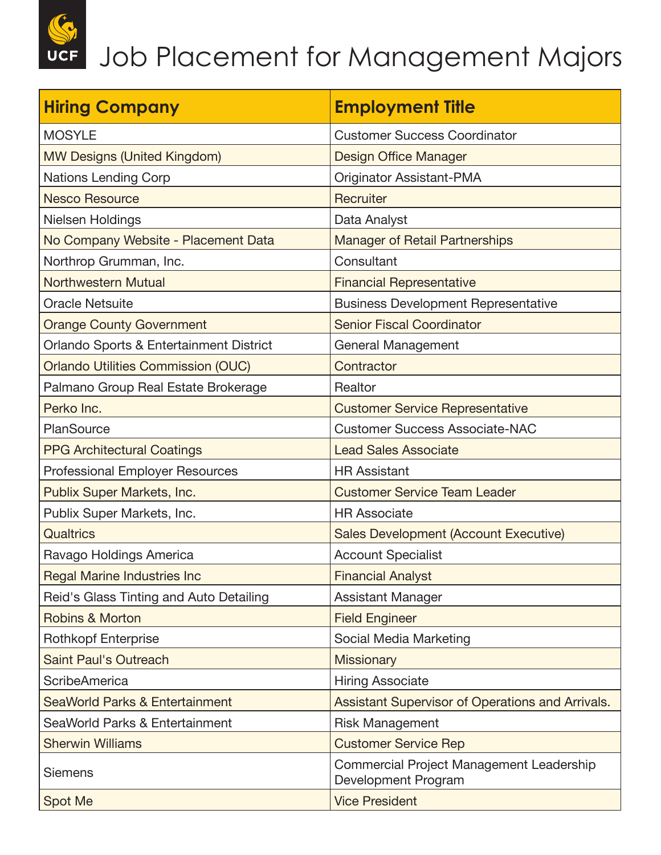| <b>Hiring Company</b>                     | <b>Employment Title</b>                                         |
|-------------------------------------------|-----------------------------------------------------------------|
| <b>MOSYLE</b>                             | <b>Customer Success Coordinator</b>                             |
| <b>MW Designs (United Kingdom)</b>        | <b>Design Office Manager</b>                                    |
| <b>Nations Lending Corp</b>               | <b>Originator Assistant-PMA</b>                                 |
| <b>Nesco Resource</b>                     | Recruiter                                                       |
| Nielsen Holdings                          | Data Analyst                                                    |
| No Company Website - Placement Data       | <b>Manager of Retail Partnerships</b>                           |
| Northrop Grumman, Inc.                    | Consultant                                                      |
| <b>Northwestern Mutual</b>                | <b>Financial Representative</b>                                 |
| <b>Oracle Netsuite</b>                    | <b>Business Development Representative</b>                      |
| <b>Orange County Government</b>           | <b>Senior Fiscal Coordinator</b>                                |
| Orlando Sports & Entertainment District   | General Management                                              |
| <b>Orlando Utilities Commission (OUC)</b> | Contractor                                                      |
| Palmano Group Real Estate Brokerage       | Realtor                                                         |
| Perko Inc.                                | <b>Customer Service Representative</b>                          |
| PlanSource                                | <b>Customer Success Associate-NAC</b>                           |
| <b>PPG Architectural Coatings</b>         | <b>Lead Sales Associate</b>                                     |
| Professional Employer Resources           | <b>HR Assistant</b>                                             |
| Publix Super Markets, Inc.                | <b>Customer Service Team Leader</b>                             |
| Publix Super Markets, Inc.                | <b>HR Associate</b>                                             |
| Qualtrics                                 | <b>Sales Development (Account Executive)</b>                    |
| Ravago Holdings America                   | <b>Account Specialist</b>                                       |
| <b>Regal Marine Industries Inc</b>        | <b>Financial Analyst</b>                                        |
| Reid's Glass Tinting and Auto Detailing   | <b>Assistant Manager</b>                                        |
| <b>Robins &amp; Morton</b>                | <b>Field Engineer</b>                                           |
| <b>Rothkopf Enterprise</b>                | Social Media Marketing                                          |
| <b>Saint Paul's Outreach</b>              | <b>Missionary</b>                                               |
| <b>ScribeAmerica</b>                      | <b>Hiring Associate</b>                                         |
| <b>SeaWorld Parks &amp; Entertainment</b> | <b>Assistant Supervisor of Operations and Arrivals.</b>         |
| SeaWorld Parks & Entertainment            | <b>Risk Management</b>                                          |
| <b>Sherwin Williams</b>                   | <b>Customer Service Rep</b>                                     |
| <b>Siemens</b>                            | Commercial Project Management Leadership<br>Development Program |
| Spot Me                                   | <b>Vice President</b>                                           |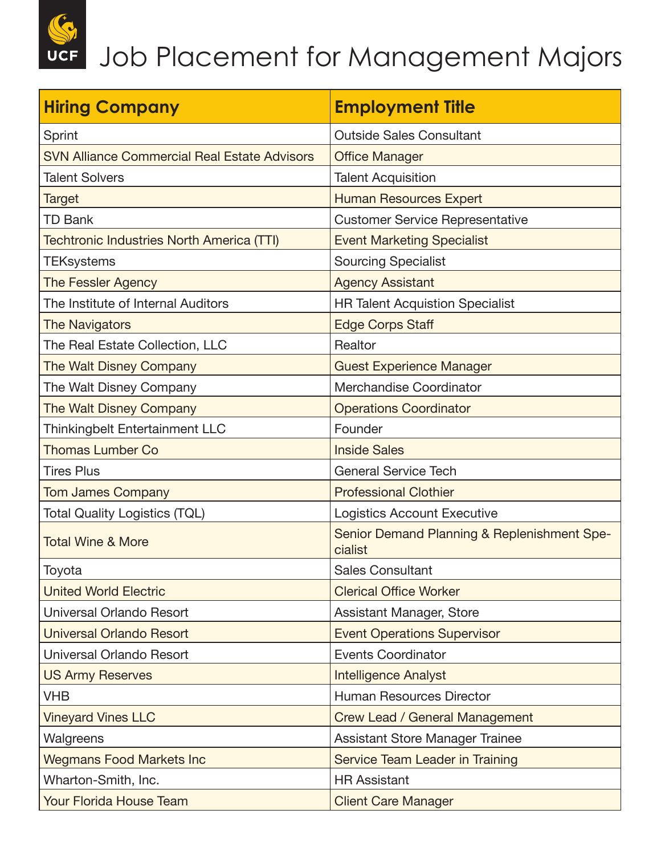| <b>Hiring Company</b>                               | <b>Employment Title</b>                                |
|-----------------------------------------------------|--------------------------------------------------------|
| Sprint                                              | <b>Outside Sales Consultant</b>                        |
| <b>SVN Alliance Commercial Real Estate Advisors</b> | <b>Office Manager</b>                                  |
| <b>Talent Solvers</b>                               | <b>Talent Acquisition</b>                              |
| <b>Target</b>                                       | <b>Human Resources Expert</b>                          |
| <b>TD Bank</b>                                      | <b>Customer Service Representative</b>                 |
| <b>Techtronic Industries North America (TTI)</b>    | <b>Event Marketing Specialist</b>                      |
| <b>TEKsystems</b>                                   | <b>Sourcing Specialist</b>                             |
| The Fessler Agency                                  | <b>Agency Assistant</b>                                |
| The Institute of Internal Auditors                  | <b>HR Talent Acquistion Specialist</b>                 |
| <b>The Navigators</b>                               | <b>Edge Corps Staff</b>                                |
| The Real Estate Collection, LLC                     | Realtor                                                |
| The Walt Disney Company                             | <b>Guest Experience Manager</b>                        |
| The Walt Disney Company                             | Merchandise Coordinator                                |
| The Walt Disney Company                             | <b>Operations Coordinator</b>                          |
| <b>Thinkingbelt Entertainment LLC</b>               | Founder                                                |
| <b>Thomas Lumber Co</b>                             | <b>Inside Sales</b>                                    |
| <b>Tires Plus</b>                                   | <b>General Service Tech</b>                            |
| <b>Tom James Company</b>                            | <b>Professional Clothier</b>                           |
| <b>Total Quality Logistics (TQL)</b>                | Logistics Account Executive                            |
| <b>Total Wine &amp; More</b>                        | Senior Demand Planning & Replenishment Spe-<br>cialist |
| Toyota                                              | <b>Sales Consultant</b>                                |
| <b>United World Electric</b>                        | <b>Clerical Office Worker</b>                          |
| Universal Orlando Resort                            | <b>Assistant Manager, Store</b>                        |
| <b>Universal Orlando Resort</b>                     | <b>Event Operations Supervisor</b>                     |
| Universal Orlando Resort                            | <b>Events Coordinator</b>                              |
| <b>US Army Reserves</b>                             | <b>Intelligence Analyst</b>                            |
| <b>VHB</b>                                          | <b>Human Resources Director</b>                        |
| <b>Vineyard Vines LLC</b>                           | <b>Crew Lead / General Management</b>                  |
| Walgreens                                           | Assistant Store Manager Trainee                        |
| <b>Wegmans Food Markets Inc</b>                     | Service Team Leader in Training                        |
| Wharton-Smith, Inc.                                 | <b>HR Assistant</b>                                    |
| <b>Your Florida House Team</b>                      | <b>Client Care Manager</b>                             |